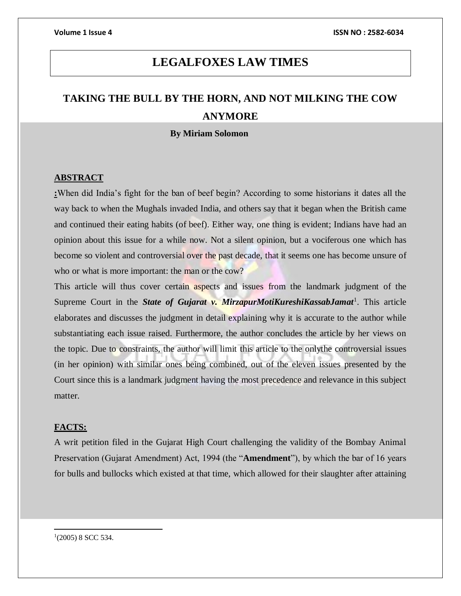# **LEGALFOXES LAW TIMES**

# **TAKING THE BULL BY THE HORN, AND NOT MILKING THE COW ANYMORE**

### **By Miriam Solomon**

### **ABSTRACT**

**:**When did India's fight for the ban of beef begin? According to some historians it dates all the way back to when the Mughals invaded India, and others say that it began when the British came and continued their eating habits (of beef). Either way, one thing is evident; Indians have had an opinion about this issue for a while now. Not a silent opinion, but a vociferous one which has become so violent and controversial over the past decade, that it seems one has become unsure of who or what is more important: the man or the cow?

This article will thus cover certain aspects and issues from the landmark judgment of the Supreme Court in the *State of Gujarat v. MirzapurMotiKureshiKassabJamat<sup>1</sup>*. This article elaborates and discusses the judgment in detail explaining why it is accurate to the author while substantiating each issue raised. Furthermore, the author concludes the article by her views on the topic. Due to constraints, the author will limit this article to the onlythe controversial issues (in her opinion) with similar ones being combined, out of the eleven issues presented by the Court since this is a landmark judgment having the most precedence and relevance in this subject matter.

### **FACTS:**

A writ petition filed in the Gujarat High Court challenging the validity of the Bombay Animal Preservation (Gujarat Amendment) Act, 1994 (the "**Amendment**"), by which the bar of 16 years for bulls and bullocks which existed at that time, which allowed for their slaughter after attaining

 $1(2005)$  8 SCC 534.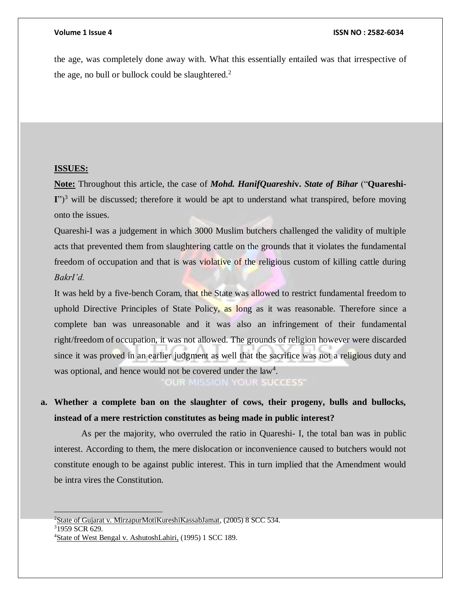the age, was completely done away with. What this essentially entailed was that irrespective of the age, no bull or bullock could be slaughtered. $2$ 

### **ISSUES:**

**Note:** Throughout this article, the case of *Mohd. HanifQuareshi***v.** *State of Bihar* ("**Quareshi-**I")<sup>3</sup> will be discussed; therefore it would be apt to understand what transpired, before moving onto the issues.

Quareshi-I was a judgement in which 3000 Muslim butchers challenged the validity of multiple acts that prevented them from slaughtering cattle on the grounds that it violates the fundamental freedom of occupation and that is was violative of the religious custom of killing cattle during *BakrI'd.* 

It was held by a five-bench Coram, that the State was allowed to restrict fundamental freedom to uphold Directive Principles of State Policy, as long as it was reasonable. Therefore since a complete ban was unreasonable and it was also an infringement of their fundamental right/freedom of occupation, it was not allowed. The grounds of religion however were discarded since it was proved in an earlier judgment as well that the sacrifice was not a religious duty and was optional, and hence would not be covered under the law<sup>4</sup>.

OUR MISSION YOUR SUCCESS'

**a. Whether a complete ban on the slaughter of cows, their progeny, bulls and bullocks, instead of a mere restriction constitutes as being made in public interest?**

As per the majority, who overruled the ratio in Quareshi- I, the total ban was in public interest. According to them, the mere dislocation or inconvenience caused to butchers would not constitute enough to be against public interest. This in turn implied that the Amendment would be intra vires the Constitution.

<sup>&</sup>lt;sup>2</sup>State of Gujarat v. MirzapurMotiKureshiKassabJamat,  $(2005)$  8 SCC 534.

<sup>3</sup>1959 SCR 629.

<sup>4</sup>State of West Bengal v. AshutoshLahiri, (1995) 1 SCC 189.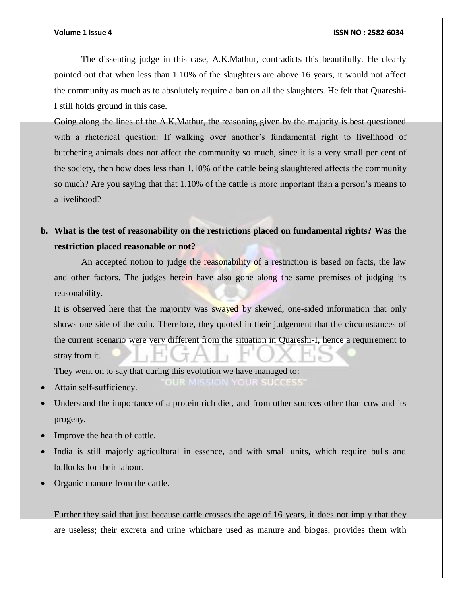### **Volume 1 Issue 4 ISSN NO : 2582-6034**

The dissenting judge in this case, A.K.Mathur, contradicts this beautifully. He clearly pointed out that when less than 1.10% of the slaughters are above 16 years, it would not affect the community as much as to absolutely require a ban on all the slaughters. He felt that Quareshi-I still holds ground in this case.

Going along the lines of the A.K.Mathur, the reasoning given by the majority is best questioned with a rhetorical question: If walking over another's fundamental right to livelihood of butchering animals does not affect the community so much, since it is a very small per cent of the society, then how does less than 1.10% of the cattle being slaughtered affects the community so much? Are you saying that that 1.10% of the cattle is more important than a person's means to a livelihood?

# **b. What is the test of reasonability on the restrictions placed on fundamental rights? Was the restriction placed reasonable or not?**

An accepted notion to judge the reasonability of a restriction is based on facts, the law and other factors. The judges herein have also gone along the same premises of judging its reasonability.

It is observed here that the majority was swayed by skewed, one-sided information that only shows one side of the coin. Therefore, they quoted in their judgement that the circumstances of the current scenario were very different from the situation in Quareshi-I, hence a requirement to stray from it.

MISSION YOUR SUCCESS'

They went on to say that during this evolution we have managed to:

- Attain self-sufficiency.
- Understand the importance of a protein rich diet, and from other sources other than cow and its progeny.
- Improve the health of cattle.
- India is still majorly agricultural in essence, and with small units, which require bulls and bullocks for their labour.
- Organic manure from the cattle.

Further they said that just because cattle crosses the age of 16 years, it does not imply that they are useless; their excreta and urine whichare used as manure and biogas, provides them with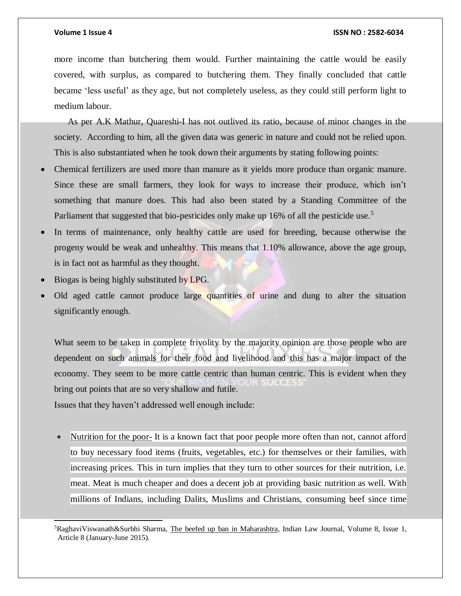### **Volume 1 Issue 4 ISSN NO : 2582-6034**

more income than butchering them would. Further maintaining the cattle would be easily covered, with surplus, as compared to butchering them. They finally concluded that cattle became 'less useful' as they age, but not completely useless, as they could still perform light to medium labour.

As per A.K Mathur, Quareshi-I has not outlived its ratio, because of minor changes in the society. According to him, all the given data was generic in nature and could not be relied upon. This is also substantiated when he took down their arguments by stating following points:

- Chemical fertilizers are used more than manure as it yields more produce than organic manure. Since these are small farmers, they look for ways to increase their produce, which isn't something that manure does. This had also been stated by a Standing Committee of the Parliament that suggested that bio-pesticides only make up 16% of all the pesticide use.<sup>5</sup>
- In terms of maintenance, only healthy cattle are used for breeding, because otherwise the progeny would be weak and unhealthy. This means that 1.10% allowance, above the age group, is in fact not as harmful as they thought.
- Biogas is being highly substituted by LPG.

l

 Old aged cattle cannot produce large quantities of urine and dung to alter the situation significantly enough.

What seem to be taken in complete frivolity by the majority opinion are those people who are dependent on such animals for their food and livelihood and this has a major impact of the economy. They seem to be more cattle centric than human centric. This is evident when they bring out points that are so very shallow and futile.

Issues that they haven't addressed well enough include:

Nutrition for the poor- It is a known fact that poor people more often than not, cannot afford to buy necessary food items (fruits, vegetables, etc.) for themselves or their families, with increasing prices. This in turn implies that they turn to other sources for their nutrition, i.e. meat. Meat is much cheaper and does a decent job at providing basic nutrition as well. With millions of Indians, including Dalits, Muslims and Christians, consuming beef since time

<sup>5</sup>RaghaviViswanath&Surbhi Sharma, The beefed up ban in Maharashtra, Indian Law Journal, Volume 8, Issue 1, Article 8 (January-June 2015).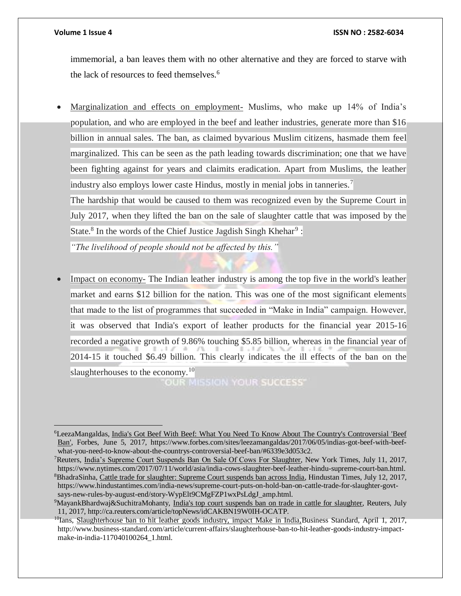$\overline{a}$ 

### **Volume 1 Issue 4 ISSN NO : 2582-6034**

immemorial, a ban leaves them with no other alternative and they are forced to starve with the lack of resources to feed themselves.<sup>6</sup>

 Marginalization and effects on employment- Muslims, who make up 14% of India's population, and who are employed in the beef and leather industries, generate more than \$16 billion in annual sales. The ban, as claimed byvarious Muslim citizens, hasmade them feel marginalized. This can be seen as the path leading towards discrimination; one that we have been fighting against for years and claimits eradication. Apart from Muslims, the leather industry also employs lower caste Hindus, mostly in menial jobs in tanneries.<sup>7</sup>

The hardship that would be caused to them was recognized even by the Supreme Court in July 2017, when they lifted the ban on the sale of slaughter cattle that was imposed by the State.<sup>8</sup> In the words of the Chief Justice Jagdish Singh Khehar<sup>9</sup>:

*"The livelihood of people should not be affected by this."*

• Impact on economy- The Indian leather industry is among the top five in the world's leather market and earns \$12 billion for the nation. This was one of the most significant elements that made to the list of programmes that succeeded in "Make in India" campaign. However, it was observed that India's export of leather products for the financial year 2015-16 recorded a negative growth of 9.86% touching \$5.85 billion, whereas in the financial year of 2014-15 it touched \$6.49 billion. This clearly indicates the ill effects of the ban on the slaughterhouses to the economy.<sup>10</sup>

**OUR MISSION YOUR SUCCESS'** 

<sup>6</sup>LeezaMangaldas, India's Got Beef With Beef: What You Need To Know About The Country's Controversial 'Beef Ban', Forbes, June 5, 2017, https://www.forbes.com/sites/leezamangaldas/2017/06/05/indias-got-beef-with-beefwhat-you-need-to-know-about-the-countrys-controversial-beef-ban/#6339e3d053c2.

<sup>7</sup>Reuters, India's Supreme Court Suspends Ban On Sale Of Cows For Slaughter, New York Times, July 11, 2017, https://www.nytimes.com/2017/07/11/world/asia/india-cows-slaughter-beef-leather-hindu-supreme-court-ban.html. <sup>8</sup>BhadraSinha, Cattle trade for slaughter: Supreme Court suspends ban across India, Hindustan Times, July 12, 2017, https://www.hindustantimes.com/india-news/supreme-court-puts-on-hold-ban-on-cattle-trade-for-slaughter-govtsays-new-rules-by-august-end/story-WypElt9CMgFZP1wxPsLdgJ\_amp.html.

<sup>9</sup>MayankBhardwaj&SuchitraMohanty, India's top court suspends ban on trade in cattle for slaughter, Reuters, July 11, 2017, http://ca.reuters.com/article/topNews/idCAKBN19W0IH-OCATP.

 $10$ Ians, Slaughterhouse ban to hit leather goods industry, impact Make in India, Business Standard, April 1, 2017, http://www.business-standard.com/article/current-affairs/slaughterhouse-ban-to-hit-leather-goods-industry-impactmake-in-india-117040100264\_1.html.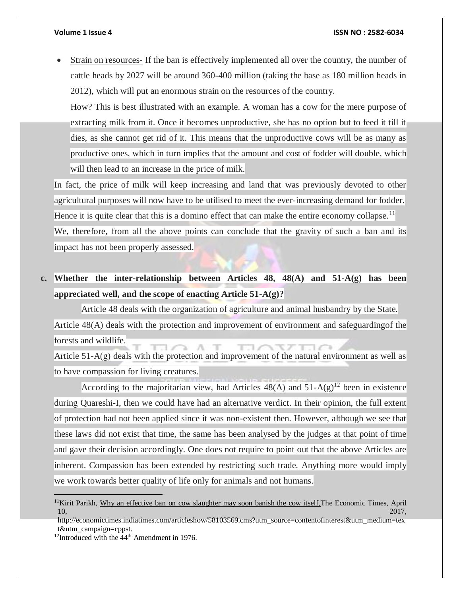### **Volume 1 Issue 4 ISSN NO : 2582-6034**

 Strain on resources- If the ban is effectively implemented all over the country, the number of cattle heads by 2027 will be around 360-400 million (taking the base as 180 million heads in 2012), which will put an enormous strain on the resources of the country.

How? This is best illustrated with an example. A woman has a cow for the mere purpose of extracting milk from it. Once it becomes unproductive, she has no option but to feed it till it dies, as she cannot get rid of it. This means that the unproductive cows will be as many as productive ones, which in turn implies that the amount and cost of fodder will double, which will then lead to an increase in the price of milk.

In fact, the price of milk will keep increasing and land that was previously devoted to other agricultural purposes will now have to be utilised to meet the ever-increasing demand for fodder. Hence it is quite clear that this is a domino effect that can make the entire economy collapse.<sup>11</sup> We, therefore, from all the above points can conclude that the gravity of such a ban and its impact has not been properly assessed.

**c. Whether the inter-relationship between Articles 48, 48(A) and 51-A(g) has been appreciated well, and the scope of enacting Article 51-A(g)?**

Article 48 deals with the organization of agriculture and animal husbandry by the State. Article 48(A) deals with the protection and improvement of environment and safeguardingof the forests and wildlife.

A. ママアエ Article 51-A(g) deals with the protection and improvement of the natural environment as well as to have compassion for living creatures.

According to the majoritarian view, had Articles  $48(A)$  and  $51-A(g)^{12}$  been in existence during Quareshi-I, then we could have had an alternative verdict. In their opinion, the full extent of protection had not been applied since it was non-existent then. However, although we see that these laws did not exist that time, the same has been analysed by the judges at that point of time and gave their decision accordingly. One does not require to point out that the above Articles are inherent. Compassion has been extended by restricting such trade. Anything more would imply we work towards better quality of life only for animals and not humans.

<sup>&</sup>lt;sup>11</sup>Kirit Parikh, Why an effective ban on cow slaughter may soon banish the cow itself. The Economic Times, April  $10,$  2017,

http://economictimes.indiatimes.com/articleshow/58103569.cms?utm\_source=contentofinterest&utm\_medium=tex t&utm\_campaign=cppst.

<sup>&</sup>lt;sup>12</sup>Introduced with the  $44<sup>th</sup>$  Amendment in 1976.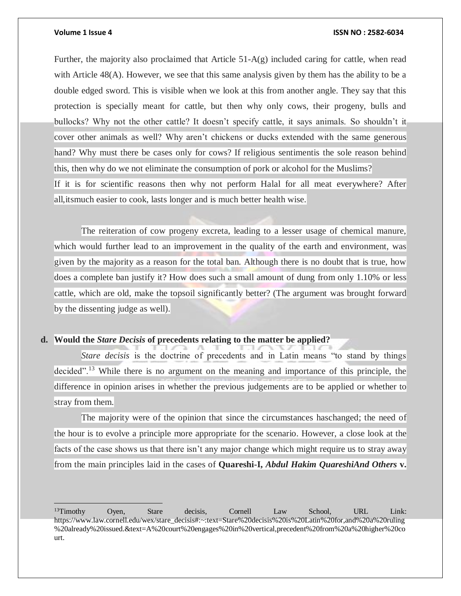$\overline{a}$ 

### **Volume 1 Issue 4 ISSN NO : 2582-6034**

Further, the majority also proclaimed that Article  $51-A(g)$  included caring for cattle, when read with Article  $48(A)$ . However, we see that this same analysis given by them has the ability to be a double edged sword. This is visible when we look at this from another angle. They say that this protection is specially meant for cattle, but then why only cows, their progeny, bulls and bullocks? Why not the other cattle? It doesn't specify cattle, it says animals. So shouldn't it cover other animals as well? Why aren't chickens or ducks extended with the same generous hand? Why must there be cases only for cows? If religious sentimentis the sole reason behind this, then why do we not eliminate the consumption of pork or alcohol for the Muslims? If it is for scientific reasons then why not perform Halal for all meat everywhere? After all,itsmuch easier to cook, lasts longer and is much better health wise.

The reiteration of cow progeny excreta, leading to a lesser usage of chemical manure, which would further lead to an improvement in the quality of the earth and environment, was given by the majority as a reason for the total ban. Although there is no doubt that is true, how does a complete ban justify it? How does such a small amount of dung from only 1.10% or less cattle, which are old, make the topsoil significantly better? (The argument was brought forward by the dissenting judge as well).

### **d. Would the** *Stare Decisis* **of precedents relating to the matter be applied?**

*Stare decisis* is the doctrine of precedents and in Latin means "to stand by things decided".<sup>13</sup> While there is no argument on the meaning and importance of this principle, the difference in opinion arises in whether the previous judgements are to be applied or whether to stray from them.

The majority were of the opinion that since the circumstances haschanged; the need of the hour is to evolve a principle more appropriate for the scenario. However, a close look at the facts of the case shows us that there isn't any major change which might require us to stray away from the main principles laid in the cases of **Quareshi-I,** *Abdul Hakim QuareshiAnd Others* **v.**

<sup>&</sup>lt;sup>13</sup>Timothy Oyen, Stare decisis, Cornell Law School, URL Link: https://www.law.cornell.edu/wex/stare\_decisis#:~:text=Stare%20decisis%20is%20Latin%20for,and%20a%20ruling %20already%20issued.&text=A%20court%20engages%20in%20vertical,precedent%20from%20a%20higher%20co urt.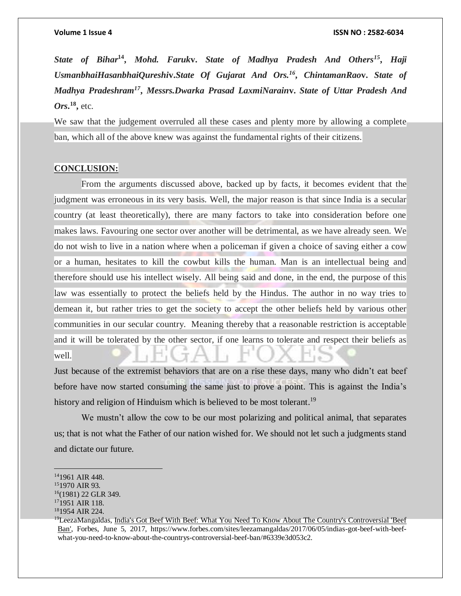*State of Bihar***<sup>14</sup> ,** *Mohd. Faruk***v.** *State of Madhya Pradesh And Others<sup>15</sup>* **,** *Haji UsmanbhaiHasanbhaiQureshi***v.***State Of Gujarat And Ors.<sup>16</sup>* **,** *ChintamanRao***v.** *State of Madhya Pradeshram<sup>17</sup>* **,** *Messrs.Dwarka Prasad LaxmiNarain***v.** *State of Uttar Pradesh And Ors***. 18 ,** etc.

We saw that the judgement overruled all these cases and plenty more by allowing a complete ban, which all of the above knew was against the fundamental rights of their citizens.

### **CONCLUSION:**

From the arguments discussed above, backed up by facts, it becomes evident that the judgment was erroneous in its very basis. Well, the major reason is that since India is a secular country (at least theoretically), there are many factors to take into consideration before one makes laws. Favouring one sector over another will be detrimental, as we have already seen. We do not wish to live in a nation where when a policeman if given a choice of saving either a cow or a human, hesitates to kill the cowbut kills the human. Man is an intellectual being and therefore should use his intellect wisely. All being said and done, in the end, the purpose of this law was essentially to protect the beliefs held by the Hindus. The author in no way tries to demean it, but rather tries to get the society to accept the other beliefs held by various other communities in our secular country. Meaning thereby that a reasonable restriction is acceptable and it will be tolerated by the other sector, if one learns to tolerate and respect their beliefs as well.

Just because of the extremist behaviors that are on a rise these days, many who didn't eat beef before have now started consuming the same just to prove a point. This is against the India's history and religion of Hinduism which is believed to be most tolerant.<sup>19</sup>

We mustn't allow the cow to be our most polarizing and political animal, that separates us; that is not what the Father of our nation wished for. We should not let such a judgments stand and dictate our future.

<sup>14</sup>1961 AIR 448.

<sup>15</sup>1970 AIR 93.

<sup>16</sup>(1981) 22 GLR 349.

<sup>17</sup>1951 AIR 118.

<sup>18</sup>1954 AIR 224.

<sup>&</sup>lt;sup>19</sup>LeezaMangaldas, India's Got Beef With Beef: What You Need To Know About The Country's Controversial 'Beef Ban', Forbes, June 5, 2017, https://www.forbes.com/sites/leezamangaldas/2017/06/05/indias-got-beef-with-beefwhat-you-need-to-know-about-the-countrys-controversial-beef-ban/#6339e3d053c2.